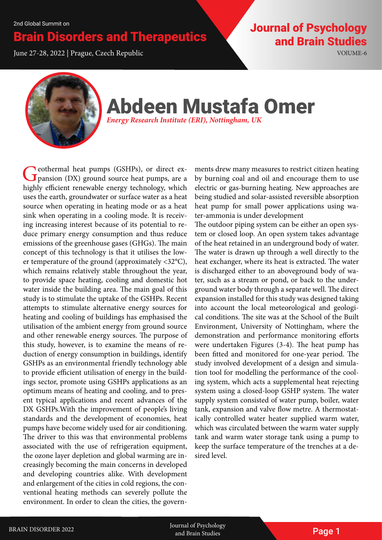2nd Global Summit on

# **Brain Disorders and Therapeutics State and Brain Studies**

June 27-28, 2022 | Prague, Czech Republic VOlUME-6

and Brain Studies



## Abdeen Mustafa Omer *Energy Research Institute (ERI), Nottingham, UK*

Ceothermal heat pumps (GSHPs), or direct expansion (DX) ground source heat pumps, are a highly efficient renewable energy technology, which uses the earth, groundwater or surface water as a heat source when operating in heating mode or as a heat sink when operating in a cooling mode. It is receiving increasing interest because of its potential to reduce primary energy consumption and thus reduce emissions of the greenhouse gases (GHGs). The main concept of this technology is that it utilises the lower temperature of the ground (approximately <32°C), which remains relatively stable throughout the year, to provide space heating, cooling and domestic hot water inside the building area. The main goal of this study is to stimulate the uptake of the GSHPs. Recent attempts to stimulate alternative energy sources for heating and cooling of buildings has emphasised the utilisation of the ambient energy from ground source and other renewable energy sources. The purpose of this study, however, is to examine the means of reduction of energy consumption in buildings, identify GSHPs as an environmental friendly technology able to provide efficient utilisation of energy in the buildings sector, promote using GSHPs applications as an optimum means of heating and cooling, and to present typical applications and recent advances of the DX GSHPs.With the improvement of people's living standards and the development of economies, heat pumps have become widely used for air conditioning. The driver to this was that environmental problems associated with the use of refrigeration equipment, the ozone layer depletion and global warming are increasingly becoming the main concerns in developed and developing countries alike. With development and enlargement of the cities in cold regions, the conventional heating methods can severely pollute the environment. In order to clean the cities, the govern-

ments drew many measures to restrict citizen heating by burning coal and oil and encourage them to use electric or gas-burning heating. New approaches are being studied and solar-assisted reversible absorption heat pump for small power applications using water-ammonia is under development

The outdoor piping system can be either an open system or closed loop. An open system takes advantage of the heat retained in an underground body of water. The water is drawn up through a well directly to the heat exchanger, where its heat is extracted. The water is discharged either to an aboveground body of water, such as a stream or pond, or back to the underground water body through a separate well. The direct expansion installed for this study was designed taking into account the local meteorological and geological conditions. The site was at the School of the Built Environment, University of Nottingham, where the demonstration and performance monitoring efforts were undertaken Figures (3-4). The heat pump has been fitted and monitored for one-year period. The study involved development of a design and simulation tool for modelling the performance of the cooling system, which acts a supplemental heat rejecting system using a closed-loop GSHP system. The water supply system consisted of water pump, boiler, water tank, expansion and valve flow metre. A thermostatically controlled water heater supplied warm water, which was circulated between the warm water supply tank and warm water storage tank using a pump to keep the surface temperature of the trenches at a desired level.

BRAIN DISORDER 2022 Journal of Psychology and Brain Studies